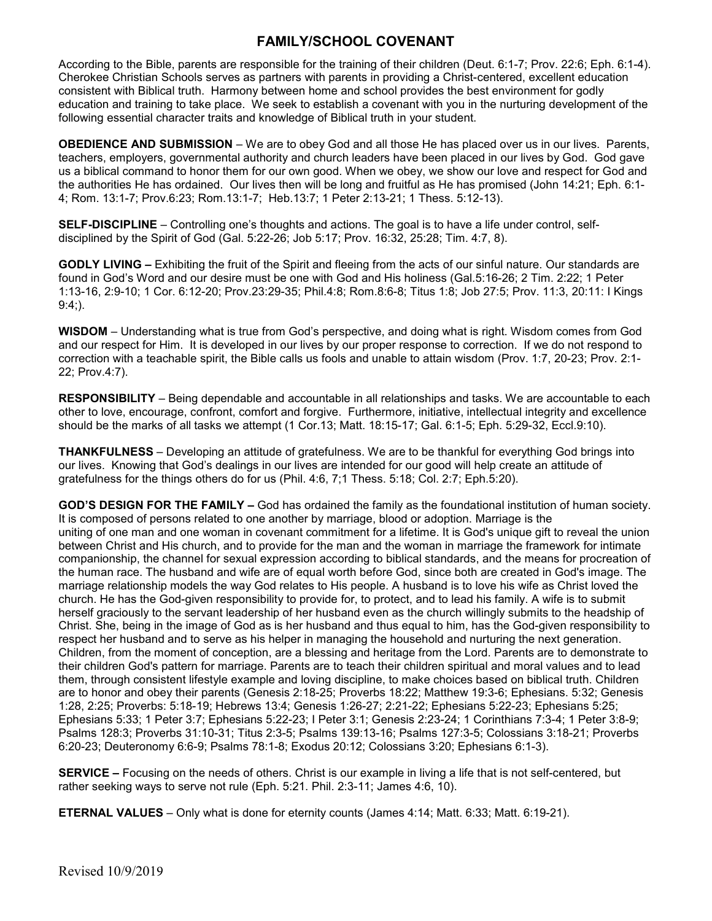## **FAMILY/SCHOOL COVENANT**

According to the Bible, parents are responsible for the training of their children (Deut. 6:1-7; Prov. 22:6; Eph. 6:1-4). Cherokee Christian Schools serves as partners with parents in providing a Christ-centered, excellent education consistent with Biblical truth. Harmony between home and school provides the best environment for godly education and training to take place. We seek to establish a covenant with you in the nurturing development of the following essential character traits and knowledge of Biblical truth in your student.

**OBEDIENCE AND SUBMISSION** – We are to obey God and all those He has placed over us in our lives. Parents, teachers, employers, governmental authority and church leaders have been placed in our lives by God. God gave us a biblical command to honor them for our own good. When we obey, we show our love and respect for God and the authorities He has ordained. Our lives then will be long and fruitful as He has promised (John 14:21; Eph. 6:1- 4; Rom. 13:1-7; Prov.6:23; Rom.13:1-7; Heb.13:7; 1 Peter 2:13-21; 1 Thess. 5:12-13).

**SELF-DISCIPLINE** – Controlling one's thoughts and actions. The goal is to have a life under control, selfdisciplined by the Spirit of God (Gal. 5:22-26; Job 5:17; Prov. 16:32, 25:28; Tim. 4:7, 8).

**GODLY LIVING –** Exhibiting the fruit of the Spirit and fleeing from the acts of our sinful nature. Our standards are found in God's Word and our desire must be one with God and His holiness (Gal.5:16-26; 2 Tim. 2:22; 1 Peter 1:13-16, 2:9-10; 1 Cor. 6:12-20; Prov.23:29-35; Phil.4:8; Rom.8:6-8; Titus 1:8; Job 27:5; Prov. 11:3, 20:11: I Kings  $9:4$ ;).

**WISDOM** – Understanding what is true from God's perspective, and doing what is right. Wisdom comes from God and our respect for Him. It is developed in our lives by our proper response to correction. If we do not respond to correction with a teachable spirit, the Bible calls us fools and unable to attain wisdom (Prov. 1:7, 20-23; Prov. 2:1- 22; Prov.4:7).

**RESPONSIBILITY** – Being dependable and accountable in all relationships and tasks. We are accountable to each other to love, encourage, confront, comfort and forgive. Furthermore, initiative, intellectual integrity and excellence should be the marks of all tasks we attempt (1 Cor.13; Matt. 18:15-17; Gal. 6:1-5; Eph. 5:29-32, Eccl.9:10).

**THANKFULNESS** – Developing an attitude of gratefulness. We are to be thankful for everything God brings into our lives. Knowing that God's dealings in our lives are intended for our good will help create an attitude of gratefulness for the things others do for us (Phil. 4:6, 7;1 Thess. 5:18; Col. 2:7; Eph.5:20).

**GOD'S DESIGN FOR THE FAMILY –** God has ordained the family as the foundational institution of human society. It is composed of persons related to one another by marriage, blood or adoption. Marriage is the uniting of one man and one woman in covenant commitment for a lifetime. It is God's unique gift to reveal the union between Christ and His church, and to provide for the man and the woman in marriage the framework for intimate companionship, the channel for sexual expression according to biblical standards, and the means for procreation of the human race. The husband and wife are of equal worth before God, since both are created in God's image. The marriage relationship models the way God relates to His people. A husband is to love his wife as Christ loved the church. He has the God-given responsibility to provide for, to protect, and to lead his family. A wife is to submit herself graciously to the servant leadership of her husband even as the church willingly submits to the headship of Christ. She, being in the image of God as is her husband and thus equal to him, has the God-given responsibility to respect her husband and to serve as his helper in managing the household and nurturing the next generation. Children, from the moment of conception, are a blessing and heritage from the Lord. Parents are to demonstrate to their children God's pattern for marriage. Parents are to teach their children spiritual and moral values and to lead them, through consistent lifestyle example and loving discipline, to make choices based on biblical truth. Children are to honor and obey their parents (Genesis 2:18-25; Proverbs 18:22; Matthew 19:3-6; Ephesians. 5:32; Genesis 1:28, 2:25; Proverbs: 5:18-19; Hebrews 13:4; Genesis 1:26-27; 2:21-22; Ephesians 5:22-23; Ephesians 5:25; Ephesians 5:33; 1 Peter 3:7; Ephesians 5:22-23; I Peter 3:1; Genesis 2:23-24; 1 Corinthians 7:3-4; 1 Peter 3:8-9; Psalms 128:3; Proverbs 31:10-31; Titus 2:3-5; Psalms 139:13-16; Psalms 127:3-5; Colossians 3:18-21; Proverbs 6:20-23; Deuteronomy 6:6-9; Psalms 78:1-8; Exodus 20:12; Colossians 3:20; Ephesians 6:1-3).

**SERVICE –** Focusing on the needs of others. Christ is our example in living a life that is not self-centered, but rather seeking ways to serve not rule (Eph. 5:21. Phil. 2:3-11; James 4:6, 10).

**ETERNAL VALUES** – Only what is done for eternity counts (James 4:14; Matt. 6:33; Matt. 6:19-21).